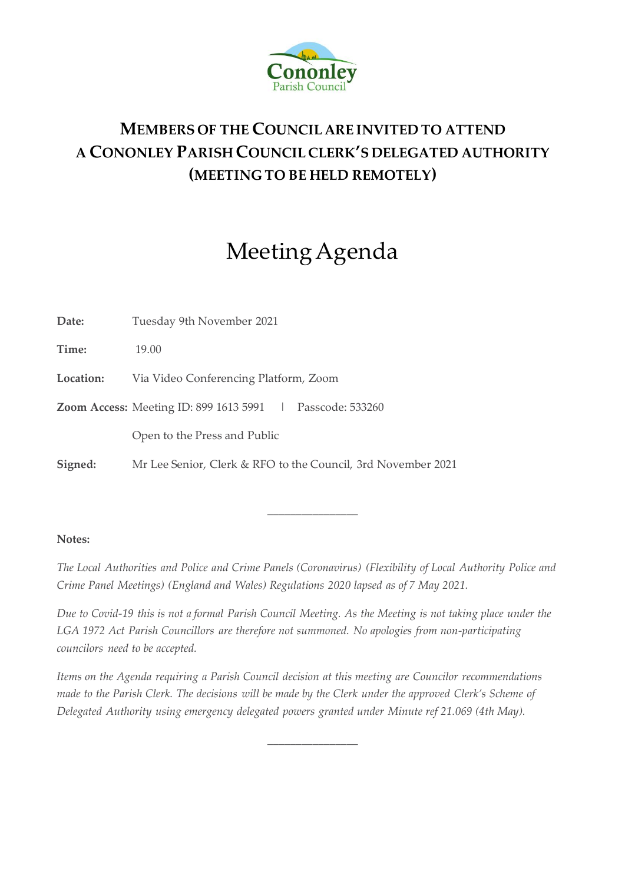

# **MEMBERS OF THE COUNCIL ARE INVITED TO ATTEND A CONONLEY PARISH COUNCIL CLERK'S DELEGATED AUTHORITY (MEETING TO BE HELD REMOTELY)**

# Meeting Agenda

**Date:** Tuesday 9th November 2021

**Time:** 19.00

**Location:** Via Video Conferencing Platform, Zoom

**Zoom Access:** Meeting ID: 899 1613 5991 | Passcode: 533260

Open to the Press and Public

**Signed:** Mr Lee Senior, Clerk & RFO to the Council, 3rd November 2021

## **Notes:**

*The Local Authorities and Police and Crime Panels (Coronavirus) (Flexibility of Local Authority Police and Crime Panel Meetings) (England and Wales) Regulations 2020 lapsed as of 7 May 2021.* 

 $\overline{\phantom{a}}$  , where  $\overline{\phantom{a}}$ 

*Due to Covid-19 this is not a formal Parish Council Meeting. As the Meeting is not taking place under the LGA 1972 Act Parish Councillors are therefore not summoned. No apologies from non-participating councilors need to be accepted.*

*Items on the Agenda requiring a Parish Council decision at this meeting are Councilor recommendations made to the Parish Clerk. The decisions will be made by the Clerk under the approved Clerk's Scheme of Delegated Authority using emergency delegated powers granted under Minute ref 21.069 (4th May).*

 $\overline{\phantom{a}}$  , where  $\overline{\phantom{a}}$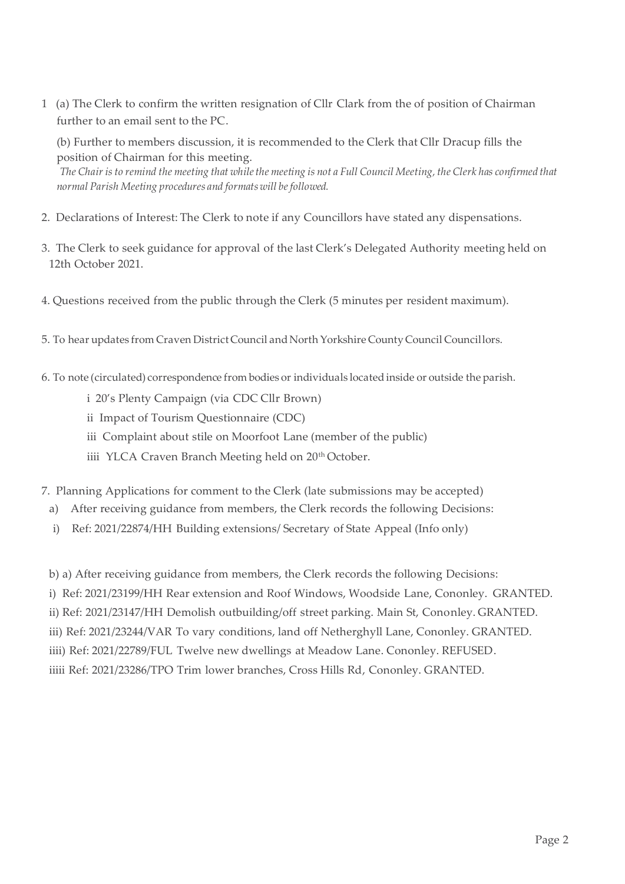1 (a) The Clerk to confirm the written resignation of Cllr Clark from the of position of Chairman further to an email sent to the PC.

(b) Further to members discussion, it is recommended to the Clerk that Cllr Dracup fills the position of Chairman for this meeting.

*The Chair is to remind the meeting that while the meeting is not a Full Council Meeting, the Clerk has confirmed that normal Parish Meeting procedures and formats will be followed.*

- 2. Declarations of Interest: The Clerk to note if any Councillors have stated any dispensations.
- 3. The Clerk to seek guidance for approval of the last Clerk's Delegated Authority meeting held on 12th October 2021.
- 4. Questions received from the public through the Clerk (5 minutes per resident maximum).
- 5. To hear updates from Craven District Council and North Yorkshire County Council Councillors.
- 6. To note (circulated) correspondence from bodies or individuals located inside or outside the parish.
	- i 20's Plenty Campaign (via CDC Cllr Brown)
	- ii Impact of Tourism Questionnaire (CDC)
	- iii Complaint about stile on Moorfoot Lane (member of the public)
	- iiii YLCA Craven Branch Meeting held on 20<sup>th</sup> October.
- 7. Planning Applications for comment to the Clerk (late submissions may be accepted)
	- a) After receiving guidance from members, the Clerk records the following Decisions:
	- i) Ref: 2021/22874/HH Building extensions/ Secretary of State Appeal (Info only)
	- b) a) After receiving guidance from members, the Clerk records the following Decisions:
	- i) Ref: 2021/23199/HH Rear extension and Roof Windows, Woodside Lane, Cononley. GRANTED.
- ii) Ref: 2021/23147/HH Demolish outbuilding/off street parking. Main St, Cononley. GRANTED.
- iii) Ref: 2021/23244/VAR To vary conditions, land off Netherghyll Lane, Cononley. GRANTED.
- iiii) Ref: 2021/22789/FUL Twelve new dwellings at Meadow Lane. Cononley. REFUSED.
- iiiii Ref: 2021/23286/TPO Trim lower branches, Cross Hills Rd, Cononley. GRANTED.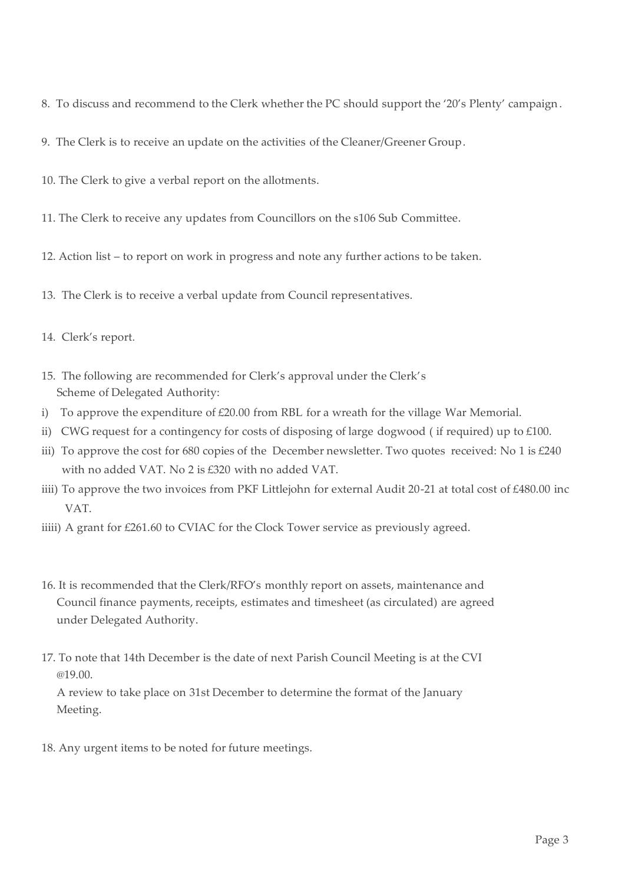- 8. To discuss and recommend to the Clerk whether the PC should support the '20's Plenty' campaign.
- 9. The Clerk is to receive an update on the activities of the Cleaner/Greener Group.
- 10. The Clerk to give a verbal report on the allotments.
- 11. The Clerk to receive any updates from Councillors on the s106 Sub Committee.
- 12. Action list to report on work in progress and note any further actions to be taken.
- 13. The Clerk is to receive a verbal update from Council representatives.
- 14. Clerk's report.
- 15. The following are recommended for Clerk's approval under the Clerk's Scheme of Delegated Authority:
- i) To approve the expenditure of  $£20.00$  from RBL for a wreath for the village War Memorial.
- ii) CWG request for a contingency for costs of disposing of large dogwood ( if required) up to £100.
- iii) To approve the cost for 680 copies of the December newsletter. Two quotes received: No 1 is £240 with no added VAT. No 2 is £320 with no added VAT.
- iiii) To approve the two invoices from PKF Littlejohn for external Audit 20-21 at total cost of £480.00 inc VAT.
- iiiii) A grant for £261.60 to CVIAC for the Clock Tower service as previously agreed.
- 16. It is recommended that the Clerk/RFO's monthly report on assets, maintenance and Council finance payments, receipts, estimates and timesheet (as circulated) are agreed under Delegated Authority.
- 17. To note that 14th December is the date of next Parish Council Meeting is at the CVI @19.00.

A review to take place on 31st December to determine the format of the January Meeting.

18. Any urgent items to be noted for future meetings.